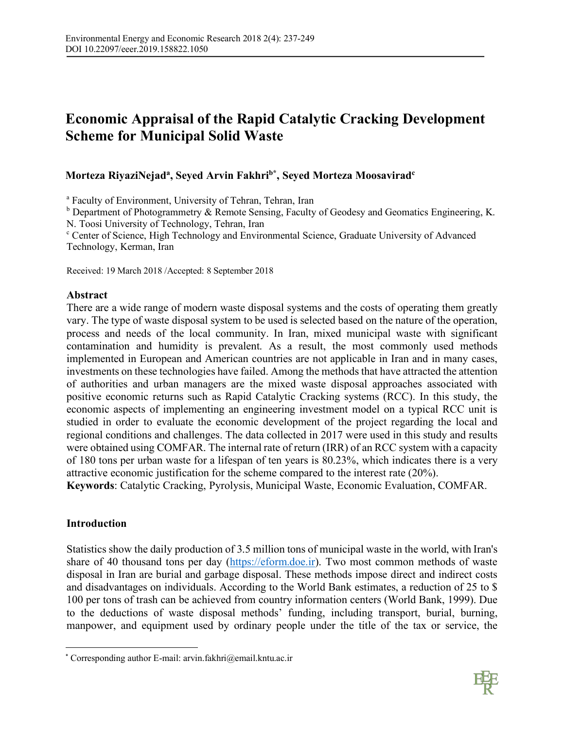# **Economic Appraisal of the Rapid Catalytic Cracking Development Scheme for Municipal Solid Waste**

# **Morteza RiyaziNejada , Seyed Arvin Fakhrib\* , Seyed Morteza Moosaviradc**

<sup>a</sup> Faculty of Environment, University of Tehran, Tehran, Iran

 $<sup>b</sup>$  Department of Photogrammetry  $&$  Remote Sensing, Faculty of Geodesy and Geomatics Engineering, K.</sup> N. Toosi University of Technology, Tehran, Iran

<sup>c</sup> Center of Science, High Technology and Environmental Science, Graduate University of Advanced Technology, Kerman, Iran

Received: 19 March 2018 /Accepted: 8 September 2018

#### **Abstract**

There are a wide range of modern waste disposal systems and the costs of operating them greatly vary. The type of waste disposal system to be used is selected based on the nature of the operation, process and needs of the local community. In Iran, mixed municipal waste with significant contamination and humidity is prevalent. As a result, the most commonly used methods implemented in European and American countries are not applicable in Iran and in many cases, investments on these technologies have failed. Among the methods that have attracted the attention of authorities and urban managers are the mixed waste disposal approaches associated with positive economic returns such as Rapid Catalytic Cracking systems (RCC). In this study, the economic aspects of implementing an engineering investment model on a typical RCC unit is studied in order to evaluate the economic development of the project regarding the local and regional conditions and challenges. The data collected in 2017 were used in this study and results were obtained using COMFAR. The internal rate of return (IRR) of an RCC system with a capacity of 180 tons per urban waste for a lifespan of ten years is 80.23%, which indicates there is a very attractive economic justification for the scheme compared to the interest rate (20%).

**Keywords**: Catalytic Cracking, Pyrolysis, Municipal Waste, Economic Evaluation, COMFAR.

### **Introduction**

Statistics show the daily production of 3.5 million tons of municipal waste in the world, with Iran's share of 40 thousand tons per day (https://eform.doe.ir). Two most common methods of waste disposal in Iran are burial and garbage disposal. These methods impose direct and indirect costs and disadvantages on individuals. According to the World Bank estimates, a reduction of 25 to \$ 100 per tons of trash can be achieved from country information centers (World Bank, 1999). Due to the deductions of waste disposal methods' funding, including transport, burial, burning, manpower, and equipment used by ordinary people under the title of the tax or service, the



 <sup>\*</sup> Corresponding author E-mail: arvin.fakhri@email.kntu.ac.ir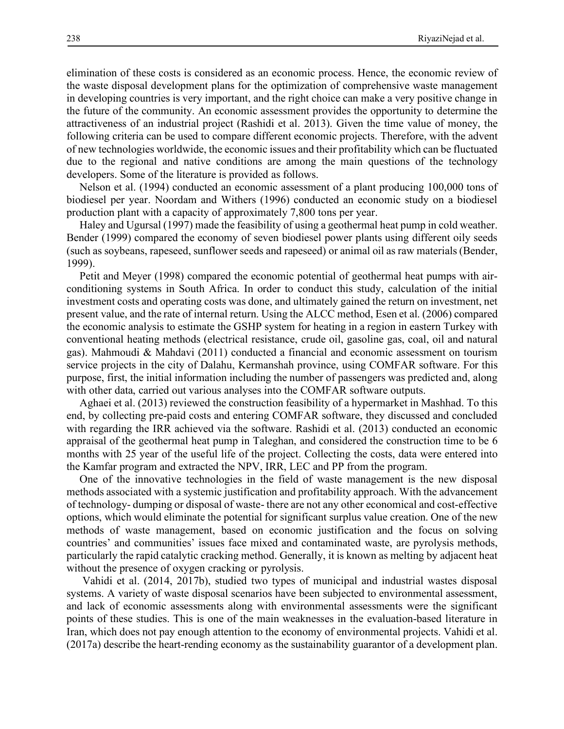elimination of these costs is considered as an economic process. Hence, the economic review of the waste disposal development plans for the optimization of comprehensive waste management in developing countries is very important, and the right choice can make a very positive change in the future of the community. An economic assessment provides the opportunity to determine the attractiveness of an industrial project (Rashidi et al. 2013). Given the time value of money, the following criteria can be used to compare different economic projects. Therefore, with the advent of new technologies worldwide, the economic issues and their profitability which can be fluctuated due to the regional and native conditions are among the main questions of the technology developers. Some of the literature is provided as follows.

Nelson et al. (1994) conducted an economic assessment of a plant producing 100,000 tons of biodiesel per year. Noordam and Withers (1996) conducted an economic study on a biodiesel production plant with a capacity of approximately 7,800 tons per year.

Haley and Ugursal (1997) made the feasibility of using a geothermal heat pump in cold weather. Bender (1999) compared the economy of seven biodiesel power plants using different oily seeds (such as soybeans, rapeseed, sunflower seeds and rapeseed) or animal oil as raw materials(Bender, 1999).

Petit and Meyer (1998) compared the economic potential of geothermal heat pumps with airconditioning systems in South Africa. In order to conduct this study, calculation of the initial investment costs and operating costs was done, and ultimately gained the return on investment, net present value, and the rate of internal return. Using the ALCC method, Esen et al. (2006) compared the economic analysis to estimate the GSHP system for heating in a region in eastern Turkey with conventional heating methods (electrical resistance, crude oil, gasoline gas, coal, oil and natural gas). Mahmoudi & Mahdavi (2011) conducted a financial and economic assessment on tourism service projects in the city of Dalahu, Kermanshah province, using COMFAR software. For this purpose, first, the initial information including the number of passengers was predicted and, along with other data, carried out various analyses into the COMFAR software outputs.

Aghaei et al. (2013) reviewed the construction feasibility of a hypermarket in Mashhad. To this end, by collecting pre-paid costs and entering COMFAR software, they discussed and concluded with regarding the IRR achieved via the software. Rashidi et al. (2013) conducted an economic appraisal of the geothermal heat pump in Taleghan, and considered the construction time to be 6 months with 25 year of the useful life of the project. Collecting the costs, data were entered into the Kamfar program and extracted the NPV, IRR, LEC and PP from the program.

One of the innovative technologies in the field of waste management is the new disposal methods associated with a systemic justification and profitability approach. With the advancement of technology- dumping or disposal of waste- there are not any other economical and cost-effective options, which would eliminate the potential for significant surplus value creation. One of the new methods of waste management, based on economic justification and the focus on solving countries' and communities' issues face mixed and contaminated waste, are pyrolysis methods, particularly the rapid catalytic cracking method. Generally, it is known as melting by adjacent heat without the presence of oxygen cracking or pyrolysis.

Vahidi et al. (2014, 2017b), studied two types of municipal and industrial wastes disposal systems. A variety of waste disposal scenarios have been subjected to environmental assessment, and lack of economic assessments along with environmental assessments were the significant points of these studies. This is one of the main weaknesses in the evaluation-based literature in Iran, which does not pay enough attention to the economy of environmental projects. Vahidi et al. (2017a) describe the heart-rending economy as the sustainability guarantor of a development plan.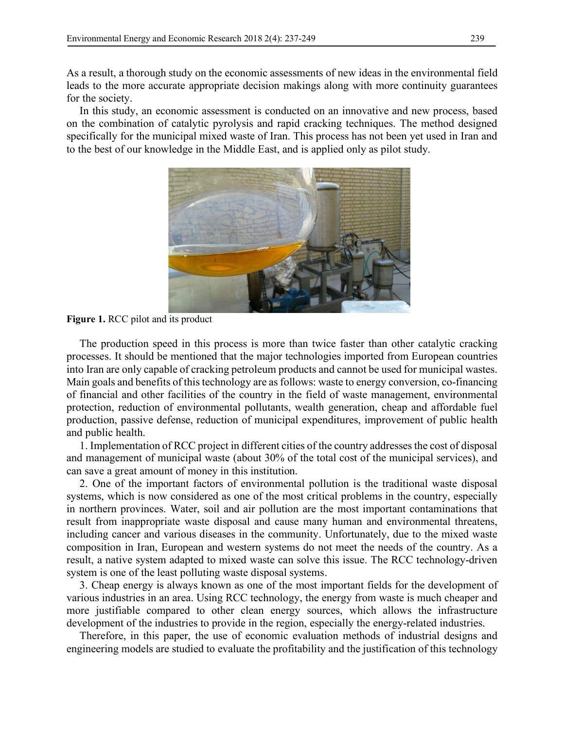As a result, a thorough study on the economic assessments of new ideas in the environmental field leads to the more accurate appropriate decision makings along with more continuity guarantees for the society.

In this study, an economic assessment is conducted on an innovative and new process, based on the combination of catalytic pyrolysis and rapid cracking techniques. The method designed specifically for the municipal mixed waste of Iran. This process has not been yet used in Iran and to the best of our knowledge in the Middle East, and is applied only as pilot study.



**Figure 1.** RCC pilot and its product

The production speed in this process is more than twice faster than other catalytic cracking processes. It should be mentioned that the major technologies imported from European countries into Iran are only capable of cracking petroleum products and cannot be used for municipal wastes. Main goals and benefits of this technology are as follows: waste to energy conversion, co-financing of financial and other facilities of the country in the field of waste management, environmental protection, reduction of environmental pollutants, wealth generation, cheap and affordable fuel production, passive defense, reduction of municipal expenditures, improvement of public health and public health.

1. Implementation of RCC project in different cities of the country addresses the cost of disposal and management of municipal waste (about 30% of the total cost of the municipal services), and can save a great amount of money in this institution.

2. One of the important factors of environmental pollution is the traditional waste disposal systems, which is now considered as one of the most critical problems in the country, especially in northern provinces. Water, soil and air pollution are the most important contaminations that result from inappropriate waste disposal and cause many human and environmental threatens, including cancer and various diseases in the community. Unfortunately, due to the mixed waste composition in Iran, European and western systems do not meet the needs of the country. As a result, a native system adapted to mixed waste can solve this issue. The RCC technology-driven system is one of the least polluting waste disposal systems.

3. Cheap energy is always known as one of the most important fields for the development of various industries in an area. Using RCC technology, the energy from waste is much cheaper and more justifiable compared to other clean energy sources, which allows the infrastructure development of the industries to provide in the region, especially the energy-related industries.

Therefore, in this paper, the use of economic evaluation methods of industrial designs and engineering models are studied to evaluate the profitability and the justification of this technology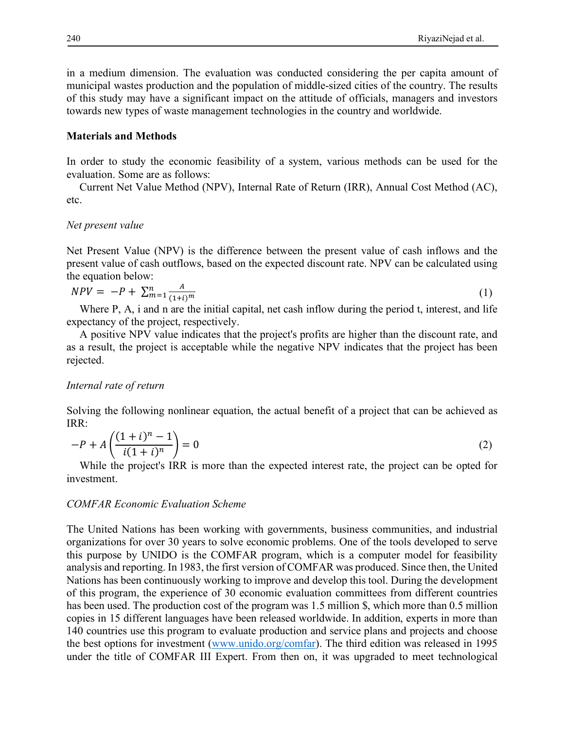in a medium dimension. The evaluation was conducted considering the per capita amount of municipal wastes production and the population of middle-sized cities of the country. The results of this study may have a significant impact on the attitude of officials, managers and investors towards new types of waste management technologies in the country and worldwide.

#### **Materials and Methods**

In order to study the economic feasibility of a system, various methods can be used for the evaluation. Some are as follows:

Current Net Value Method (NPV), Internal Rate of Return (IRR), Annual Cost Method (AC), etc.

#### *Net present value*

Net Present Value (NPV) is the difference between the present value of cash inflows and the present value of cash outflows, based on the expected discount rate. NPV can be calculated using the equation below:

$$
NPV = -P + \sum_{m=1}^{n} \frac{A}{(1+i)^m}
$$
 (1)

Where P, A, i and n are the initial capital, net cash inflow during the period t, interest, and life expectancy of the project, respectively.

A positive NPV value indicates that the project's profits are higher than the discount rate, and as a result, the project is acceptable while the negative NPV indicates that the project has been rejected.

#### *Internal rate of return*

Solving the following nonlinear equation, the actual benefit of a project that can be achieved as IRR:

$$
-P + A \left( \frac{(1+i)^n - 1}{i(1+i)^n} \right) = 0
$$
 (2)

While the project's IRR is more than the expected interest rate, the project can be opted for investment.

#### *COMFAR Economic Evaluation Scheme*

The United Nations has been working with governments, business communities, and industrial organizations for over 30 years to solve economic problems. One of the tools developed to serve this purpose by UNIDO is the COMFAR program, which is a computer model for feasibility analysis and reporting. In 1983, the first version of COMFAR was produced. Since then, the United Nations has been continuously working to improve and develop this tool. During the development of this program, the experience of 30 economic evaluation committees from different countries has been used. The production cost of the program was 1.5 million \$, which more than 0.5 million copies in 15 different languages have been released worldwide. In addition, experts in more than 140 countries use this program to evaluate production and service plans and projects and choose the best options for investment (www.unido.org/comfar). The third edition was released in 1995 under the title of COMFAR III Expert. From then on, it was upgraded to meet technological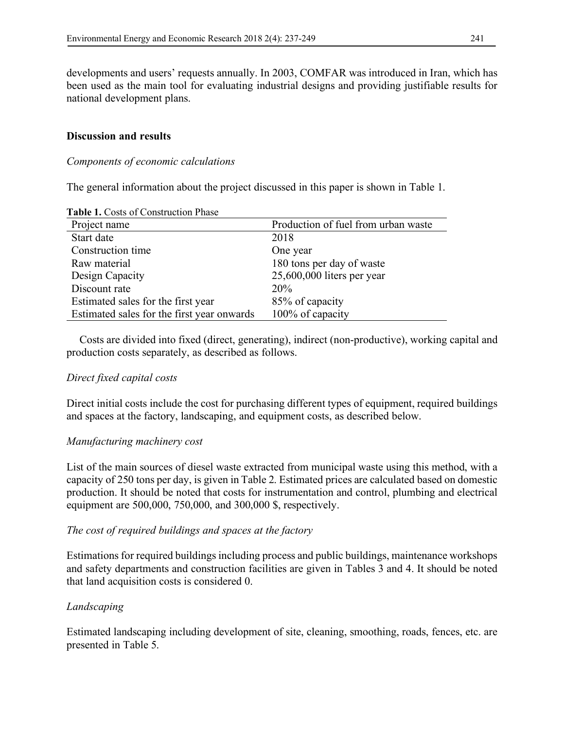developments and users' requests annually. In 2003, COMFAR was introduced in Iran, which has been used as the main tool for evaluating industrial designs and providing justifiable results for national development plans.

### **Discussion and results**

#### *Components of economic calculations*

The general information about the project discussed in this paper is shown in Table 1.

| <b>Table 1.</b> Costs of Construction Filase |                                     |
|----------------------------------------------|-------------------------------------|
| Project name                                 | Production of fuel from urban waste |
| Start date                                   | 2018                                |
| Construction time                            | One year                            |
| Raw material                                 | 180 tons per day of waste           |
| Design Capacity                              | $25,600,000$ liters per year        |
| Discount rate                                | 20%                                 |
| Estimated sales for the first year           | 85% of capacity                     |
| Estimated sales for the first year onwards   | 100% of capacity                    |

**Table 1.** Costs of Construction Phase

Costs are divided into fixed (direct, generating), indirect (non-productive), working capital and production costs separately, as described as follows.

### *Direct fixed capital costs*

Direct initial costs include the cost for purchasing different types of equipment, required buildings and spaces at the factory, landscaping, and equipment costs, as described below.

### *Manufacturing machinery cost*

List of the main sources of diesel waste extracted from municipal waste using this method, with a capacity of 250 tons per day, is given in Table 2. Estimated prices are calculated based on domestic production. It should be noted that costs for instrumentation and control, plumbing and electrical equipment are 500,000, 750,000, and 300,000 \$, respectively.

### *The cost of required buildings and spaces at the factory*

Estimations for required buildings including process and public buildings, maintenance workshops and safety departments and construction facilities are given in Tables 3 and 4. It should be noted that land acquisition costs is considered 0.

### *Landscaping*

Estimated landscaping including development of site, cleaning, smoothing, roads, fences, etc. are presented in Table 5.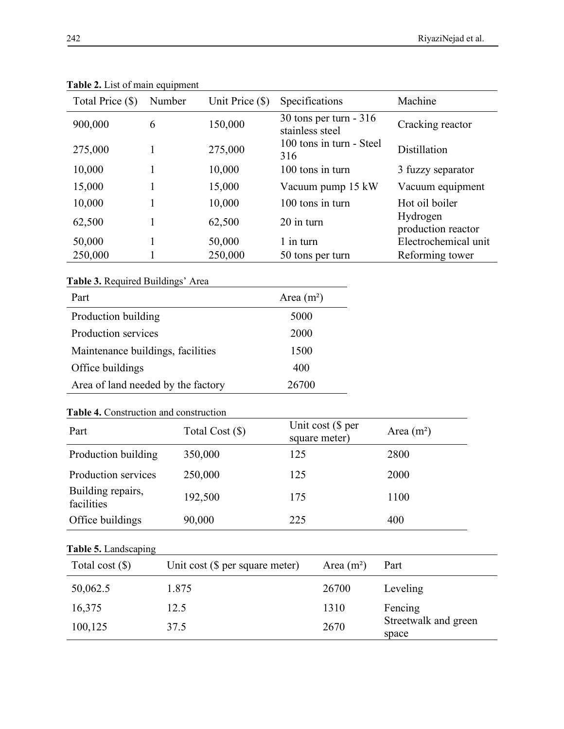| Total Price (\$) | Number | Unit Price $(\$)$ | Specifications                            | Machine                        |
|------------------|--------|-------------------|-------------------------------------------|--------------------------------|
| 900,000          | 6      | 150,000           | 30 tons per turn - 316<br>stainless steel | Cracking reactor               |
| 275,000          |        | 275,000           | 100 tons in turn - Steel<br>316           | Distillation                   |
| 10,000           |        | 10,000            | 100 tons in turn                          | 3 fuzzy separator              |
| 15,000           |        | 15,000            | Vacuum pump 15 kW                         | Vacuum equipment               |
| 10,000           |        | 10,000            | 100 tons in turn                          | Hot oil boiler                 |
| 62,500           |        | 62,500            | 20 in turn                                | Hydrogen<br>production reactor |
| 50,000           |        | 50,000            | 1 in turn                                 | Electrochemical unit           |
| 250,000          |        | 250,000           | 50 tons per turn                          | Reforming tower                |

**Table 2.** List of main equipment

**Table 3.** Required Buildings' Area

| Part                               | Area $(m^2)$ |
|------------------------------------|--------------|
| Production building                | 5000         |
| Production services                | 2000         |
| Maintenance buildings, facilities  | 1500         |
| Office buildings                   | 400          |
| Area of land needed by the factory | 26700        |

### **Table 4.** Construction and construction

| Part                            | Total Cost (\$) | Unit cost (\$ per<br>square meter) | Area $(m^2)$ |
|---------------------------------|-----------------|------------------------------------|--------------|
| Production building             | 350,000         | 125                                | 2800         |
| Production services             | 250,000         | 125                                | 2000         |
| Building repairs,<br>facilities | 192,500         | 175                                | 1100         |
| Office buildings                | 90,000          | 225                                | 400          |

# **Table 5.** Landscaping

| Total cost $(\$)$ | Unit cost $(\$$ per square meter) | Area $(m^2)$ | Part                          |
|-------------------|-----------------------------------|--------------|-------------------------------|
| 50,062.5          | 1.875                             | 26700        | Leveling                      |
| 16,375            | 12.5                              | 1310         | Fencing                       |
| 100,125           | 37.5                              | 2670         | Streetwalk and green<br>space |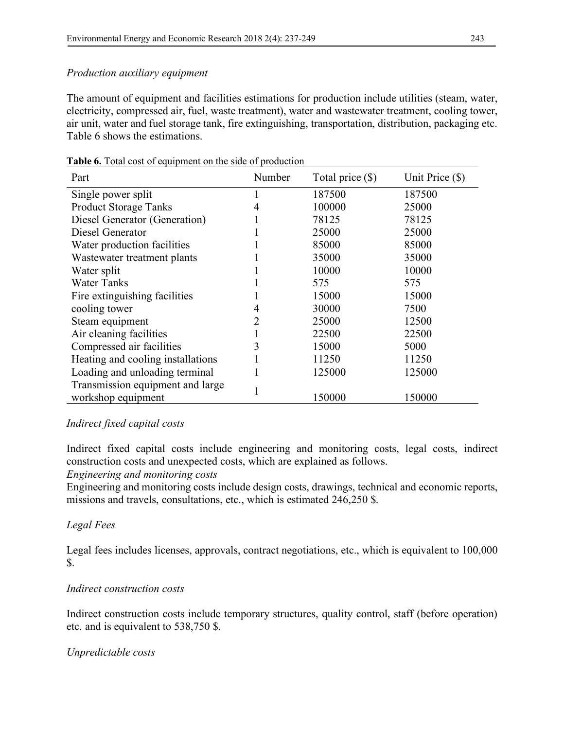### *Production auxiliary equipment*

The amount of equipment and facilities estimations for production include utilities (steam, water, electricity, compressed air, fuel, waste treatment), water and wastewater treatment, cooling tower, air unit, water and fuel storage tank, fire extinguishing, transportation, distribution, packaging etc. Table 6 shows the estimations.

| Part                              | Number | Total price $(\$)$ | Unit Price $(\$)$ |
|-----------------------------------|--------|--------------------|-------------------|
| Single power split                |        | 187500             | 187500            |
| <b>Product Storage Tanks</b>      | 4      | 100000             | 25000             |
| Diesel Generator (Generation)     |        | 78125              | 78125             |
| Diesel Generator                  |        | 25000              | 25000             |
| Water production facilities       |        | 85000              | 85000             |
| Wastewater treatment plants       |        | 35000              | 35000             |
| Water split                       |        | 10000              | 10000             |
| <b>Water Tanks</b>                |        | 575                | 575               |
| Fire extinguishing facilities     |        | 15000              | 15000             |
| cooling tower                     | 4      | 30000              | 7500              |
| Steam equipment                   |        | 25000              | 12500             |
| Air cleaning facilities           |        | 22500              | 22500             |
| Compressed air facilities         | 3      | 15000              | 5000              |
| Heating and cooling installations |        | 11250              | 11250             |
| Loading and unloading terminal    |        | 125000             | 125000            |
| Transmission equipment and large  |        |                    |                   |
| workshop equipment                |        | 150000             | 150000            |

**Table 6.** Total cost of equipment on the side of production

### *Indirect fixed capital costs*

Indirect fixed capital costs include engineering and monitoring costs, legal costs, indirect construction costs and unexpected costs, which are explained as follows.

### *Engineering and monitoring costs*

Engineering and monitoring costs include design costs, drawings, technical and economic reports, missions and travels, consultations, etc., which is estimated 246,250 \$.

# *Legal Fees*

Legal fees includes licenses, approvals, contract negotiations, etc., which is equivalent to 100,000 \$.

### *Indirect construction costs*

Indirect construction costs include temporary structures, quality control, staff (before operation) etc. and is equivalent to 538,750 \$.

### *Unpredictable costs*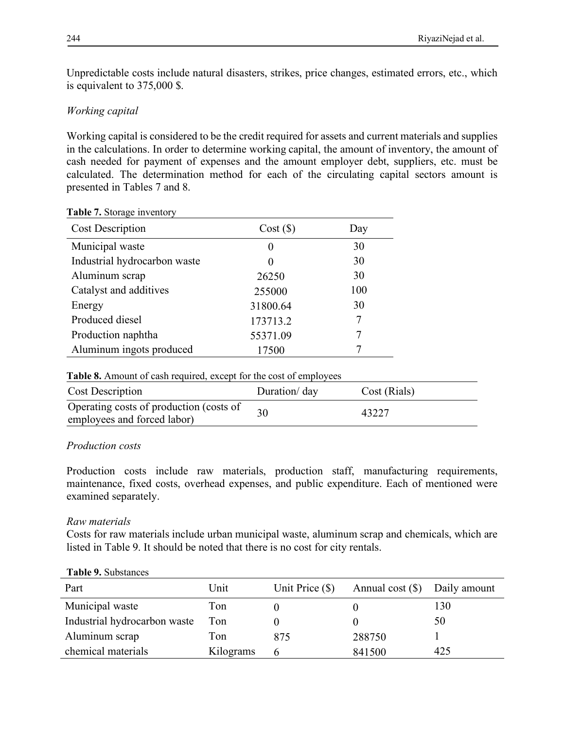Unpredictable costs include natural disasters, strikes, price changes, estimated errors, etc., which is equivalent to 375,000 \$.

# *Working capital*

Working capital is considered to be the credit required for assets and current materials and supplies in the calculations. In order to determine working capital, the amount of inventory, the amount of cash needed for payment of expenses and the amount employer debt, suppliers, etc. must be calculated. The determination method for each of the circulating capital sectors amount is presented in Tables 7 and 8.

| $\frac{1}{2}$ and $\frac{1}{2}$ biorage in eight.<br><b>Cost Description</b> | Cost(S)  | Day |
|------------------------------------------------------------------------------|----------|-----|
| Municipal waste                                                              | $\theta$ | 30  |
| Industrial hydrocarbon waste                                                 | $\theta$ | 30  |
| Aluminum scrap                                                               | 26250    | 30  |
| Catalyst and additives                                                       | 255000   | 100 |
| Energy                                                                       | 31800.64 | 30  |
| Produced diesel                                                              | 173713.2 | 7   |
| Production naphtha                                                           | 55371.09 |     |
| Aluminum ingots produced                                                     | 17500    |     |

#### **Table 7.** Storage inventory

| <b>Table 8.</b> Amount of cash required, except for the cost of employees |               |              |  |
|---------------------------------------------------------------------------|---------------|--------------|--|
| <b>Cost Description</b>                                                   | Duration/ day | Cost (Rials) |  |
| Operating costs of production (costs of<br>employees and forced labor)    | 30            | 43227        |  |

# *Production costs*

Production costs include raw materials, production staff, manufacturing requirements, maintenance, fixed costs, overhead expenses, and public expenditure. Each of mentioned were examined separately.

# *Raw materials*

Costs for raw materials include urban municipal waste, aluminum scrap and chemicals, which are listed in Table 9. It should be noted that there is no cost for city rentals.

| Part                         | Unit      | Unit Price $(\$)$ | Annual cost $(\$)$ Daily amount |     |
|------------------------------|-----------|-------------------|---------------------------------|-----|
| Municipal waste              | Ton       |                   |                                 | 130 |
| Industrial hydrocarbon waste | Ton       |                   |                                 | 50  |
| Aluminum scrap               | Ton       | 875               | 288750                          |     |
| chemical materials           | Kilograms | h                 | 841500                          | 425 |

**Table 9.** Substances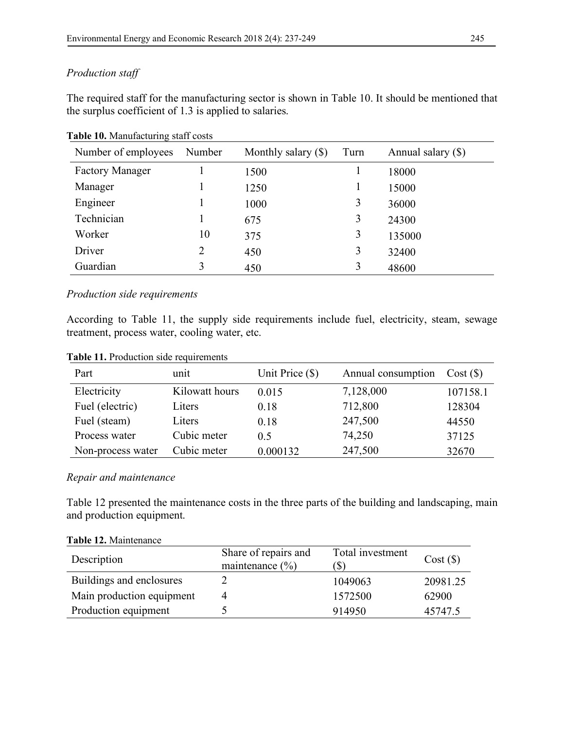### *Production staff*

The required staff for the manufacturing sector is shown in Table 10. It should be mentioned that the surplus coefficient of 1.3 is applied to salaries.

| Number of employees    | Number | Monthly salary $(\$)$ | Turn | Annual salary (\$) |
|------------------------|--------|-----------------------|------|--------------------|
| <b>Factory Manager</b> |        | 1500                  |      | 18000              |
| Manager                |        | 1250                  |      | 15000              |
| Engineer               |        | 1000                  | 3    | 36000              |
| Technician             |        | 675                   | 3    | 24300              |
| Worker                 | 10     | 375                   | 3    | 135000             |
| Driver                 | 2      | 450                   | 3    | 32400              |
| Guardian               | 3      | 450                   | 3    | 48600              |

**Table 10.** Manufacturing staff costs

### *Production side requirements*

According to Table 11, the supply side requirements include fuel, electricity, steam, sewage treatment, process water, cooling water, etc.

| <b>Table 11.</b> Production side requirements |  |
|-----------------------------------------------|--|
|                                               |  |

| Part              | unit           | Unit Price $(\$)$ | Annual consumption | Cost(S)  |
|-------------------|----------------|-------------------|--------------------|----------|
| Electricity       | Kilowatt hours | 0.015             | 7,128,000          | 107158.1 |
| Fuel (electric)   | Liters         | 0.18              | 712,800            | 128304   |
| Fuel (steam)      | Liters         | 0.18              | 247,500            | 44550    |
| Process water     | Cubic meter    | 0.5               | 74,250             | 37125    |
| Non-process water | Cubic meter    | 0.000132          | 247,500            | 32670    |

### *Repair and maintenance*

Table 12 presented the maintenance costs in the three parts of the building and landscaping, main and production equipment.

| <b>Table 12.</b> IVIdinchance |                                             |                                   |          |
|-------------------------------|---------------------------------------------|-----------------------------------|----------|
| Description                   | Share of repairs and<br>maintenance $(\% )$ | Total investment<br>$\mathcal{S}$ | Cost(S)  |
| Buildings and enclosures      |                                             | 1049063                           | 20981.25 |
| Main production equipment     |                                             | 1572500                           | 62900    |
| Production equipment          |                                             | 914950                            | 45747.5  |

#### **Table 12.** Maintenance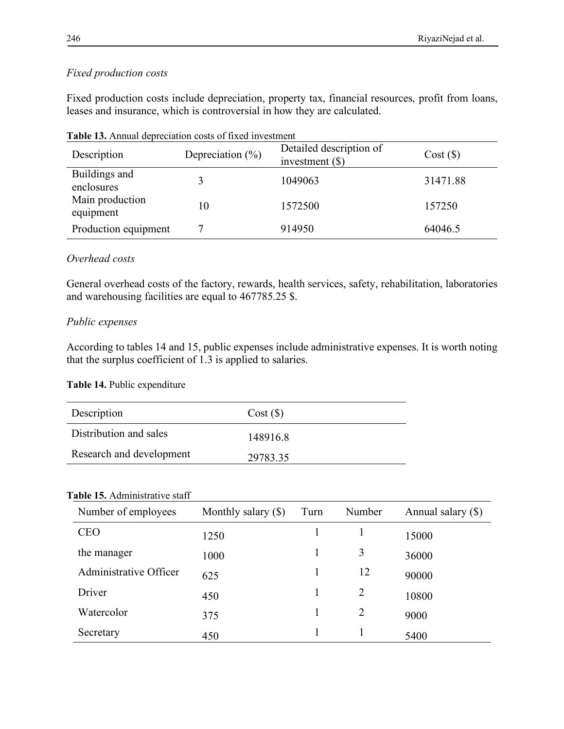# *Fixed production costs*

Fixed production costs include depreciation, property tax, financial resources, profit from loans, leases and insurance, which is controversial in how they are calculated.

| Description                  | Depreciation $(\% )$ | Detailed description of<br>investment $(\$)$ | Cost(S)  |
|------------------------------|----------------------|----------------------------------------------|----------|
| Buildings and<br>enclosures  |                      | 1049063                                      | 31471.88 |
| Main production<br>equipment | 10                   | 1572500                                      | 157250   |
| Production equipment         |                      | 914950                                       | 64046.5  |

**Table 13.** Annual depreciation costs of fixed investment

# *Overhead costs*

General overhead costs of the factory, rewards, health services, safety, rehabilitation, laboratories and warehousing facilities are equal to 467785.25 \$.

# *Public expenses*

According to tables 14 and 15, public expenses include administrative expenses. It is worth noting that the surplus coefficient of 1.3 is applied to salaries.

# **Table 14.** Public expenditure

| Description              | Cost(S)  |
|--------------------------|----------|
| Distribution and sales   | 1489168  |
| Research and development | 29783.35 |

# **Table 15.** Administrative staff

| Number of employees    | Monthly salary $(\$)$ | Turn | Number | Annual salary (\$) |
|------------------------|-----------------------|------|--------|--------------------|
| <b>CEO</b>             | 1250                  |      |        | 15000              |
| the manager            | 1000                  |      | 3      | 36000              |
| Administrative Officer | 625                   |      | 12     | 90000              |
| Driver                 | 450                   |      | 2      | 10800              |
| Watercolor             | 375                   |      | 2      | 9000               |
| Secretary              | 450                   |      |        | 5400               |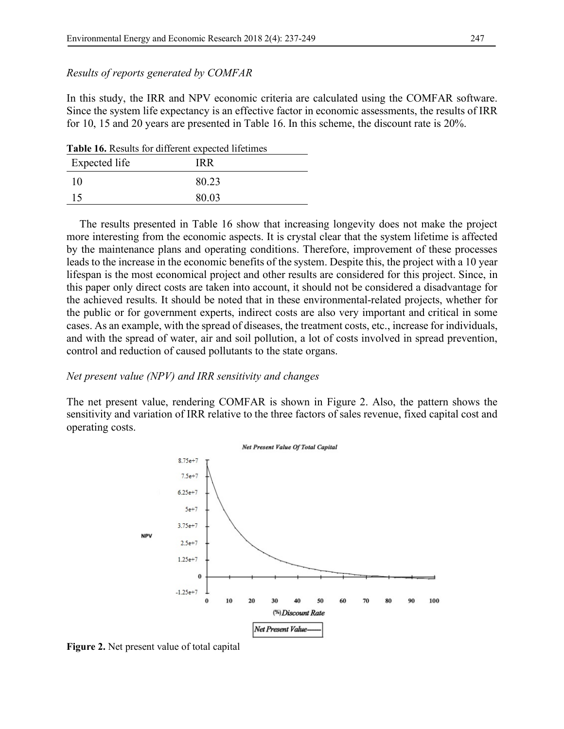#### *Results of reports generated by COMFAR*

In this study, the IRR and NPV economic criteria are calculated using the COMFAR software. Since the system life expectancy is an effective factor in economic assessments, the results of IRR for 10, 15 and 20 years are presented in Table 16. In this scheme, the discount rate is 20%.

**Table 16.** Results for different expected lifetimes

| Expected life | <b>IRR</b> |
|---------------|------------|
| 10            | 80.23      |
| 15            | 80.03      |

The results presented in Table 16 show that increasing longevity does not make the project more interesting from the economic aspects. It is crystal clear that the system lifetime is affected by the maintenance plans and operating conditions. Therefore, improvement of these processes leads to the increase in the economic benefits of the system. Despite this, the project with a 10 year lifespan is the most economical project and other results are considered for this project. Since, in this paper only direct costs are taken into account, it should not be considered a disadvantage for the achieved results. It should be noted that in these environmental-related projects, whether for the public or for government experts, indirect costs are also very important and critical in some cases. As an example, with the spread of diseases, the treatment costs, etc., increase for individuals, and with the spread of water, air and soil pollution, a lot of costs involved in spread prevention, control and reduction of caused pollutants to the state organs.

#### *Net present value (NPV) and IRR sensitivity and changes*

The net present value, rendering COMFAR is shown in Figure 2. Also, the pattern shows the sensitivity and variation of IRR relative to the three factors of sales revenue, fixed capital cost and operating costs.



**Figure 2.** Net present value of total capital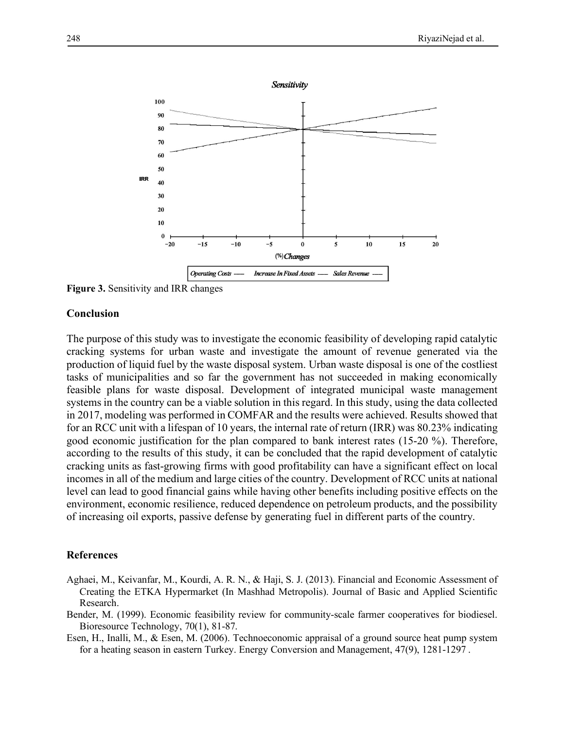

**Figure 3.** Sensitivity and IRR changes

#### **Conclusion**

The purpose of this study was to investigate the economic feasibility of developing rapid catalytic cracking systems for urban waste and investigate the amount of revenue generated via the production of liquid fuel by the waste disposal system. Urban waste disposal is one of the costliest tasks of municipalities and so far the government has not succeeded in making economically feasible plans for waste disposal. Development of integrated municipal waste management systems in the country can be a viable solution in this regard. In this study, using the data collected in 2017, modeling was performed in COMFAR and the results were achieved. Results showed that for an RCC unit with a lifespan of 10 years, the internal rate of return (IRR) was 80.23% indicating good economic justification for the plan compared to bank interest rates (15-20 %). Therefore, according to the results of this study, it can be concluded that the rapid development of catalytic cracking units as fast-growing firms with good profitability can have a significant effect on local incomes in all of the medium and large cities of the country. Development of RCC units at national level can lead to good financial gains while having other benefits including positive effects on the environment, economic resilience, reduced dependence on petroleum products, and the possibility of increasing oil exports, passive defense by generating fuel in different parts of the country.

#### **References**

- Aghaei, M., Keivanfar, M., Kourdi, A. R. N., & Haji, S. J. (2013). Financial and Economic Assessment of Creating the ETKA Hypermarket (In Mashhad Metropolis). Journal of Basic and Applied Scientific Research.
- Bender, M. (1999). Economic feasibility review for community-scale farmer cooperatives for biodiesel. Bioresource Technology, 70(1), 81-87.
- Esen, H., Inalli, M., & Esen, M. (2006). Technoeconomic appraisal of a ground source heat pump system for a heating season in eastern Turkey. Energy Conversion and Management, 47(9), 1281-1297 .